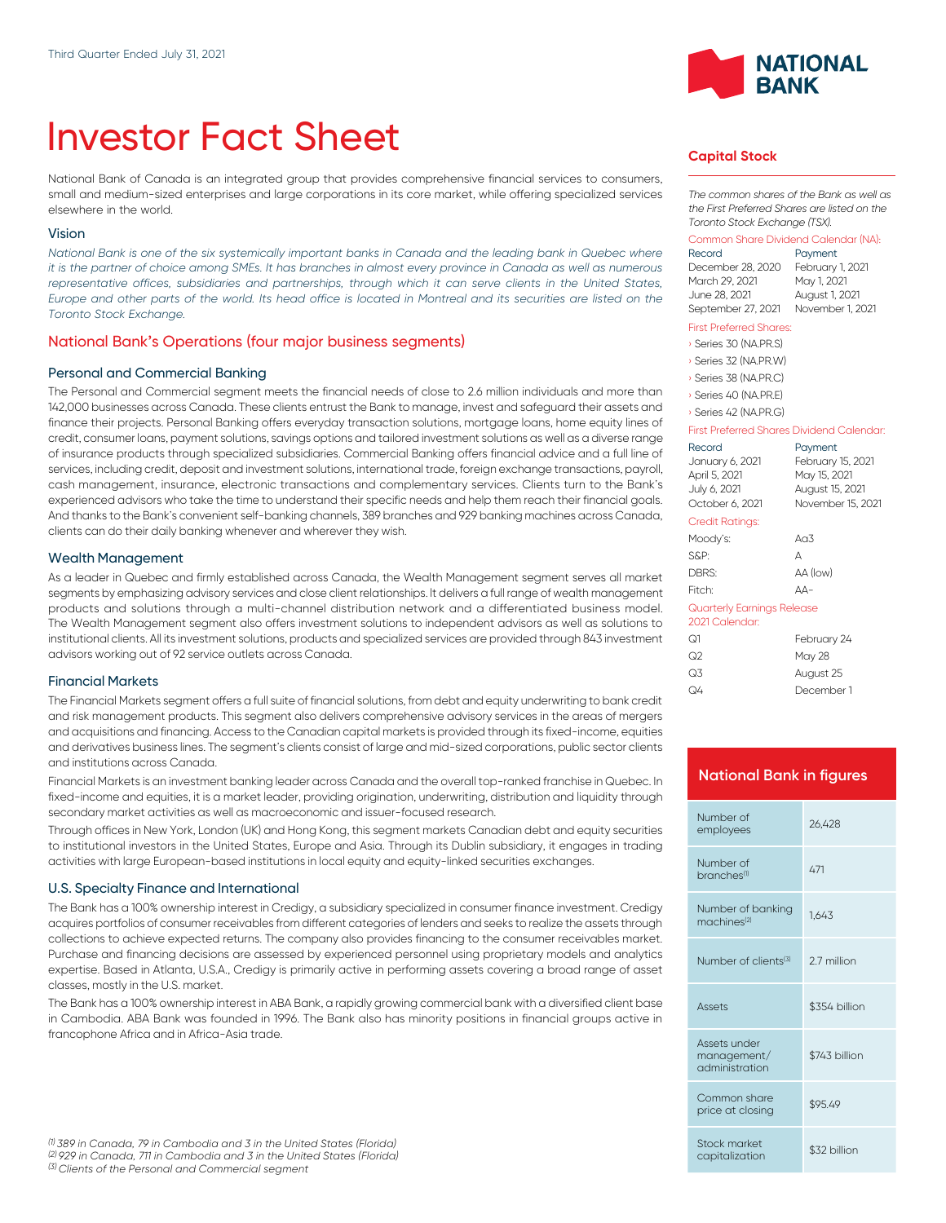# Investor Fact Sheet

National Bank of Canada is an integrated group that provides comprehensive financial services to consumers, small and medium-sized enterprises and large corporations in its core market, while offering specialized services elsewhere in the world.

#### Vision

*National Bank is one of the six systemically important banks in Canada and the leading bank in Quebec where it is the partner of choice among SMEs. It has branches in almost every province in Canada as well as numerous* representative offices, subsidiaries and partnerships, through which it can serve clients in the United States, *Europe and other parts of the world. Its head office is located in Montreal and its securities are listed on the Toronto Stock Exchange.*

#### National Bank's Operations (four major business segments)

#### Personal and Commercial Banking

The Personal and Commercial segment meets the financial needs of close to 2.6 million individuals and more than 142,000 businesses across Canada. These clients entrust the Bank to manage, invest and safeguard their assets and finance their projects. Personal Banking offers everyday transaction solutions, mortgage loans, home equity lines of credit, consumer loans, payment solutions, savings options and tailored investment solutions as well as a diverse range of insurance products through specialized subsidiaries. Commercial Banking offers financial advice and a full line of services, including credit, deposit and investment solutions, international trade, foreign exchange transactions, payroll, cash management, insurance, electronic transactions and complementary services. Clients turn to the Bank's experienced advisors who take the time to understand their specific needs and help them reach their financial goals. And thanks to the Bank's convenient self-banking channels, 389 branches and 929 banking machines across Canada, clients can do their daily banking whenever and wherever they wish.

#### Wealth Management

As a leader in Quebec and firmly established across Canada, the Wealth Management segment serves all market segments by emphasizing advisory services and close client relationships. lt delivers a full range of wealth management products and solutions through a multi-channel distribution network and a differentiated business model. The Wealth Management segment also offers investment solutions to independent advisors as well as solutions to institutional clients. All its investment solutions, products and specialized services are provided through 843 investment advisors working out of 92 service outlets across Canada.

#### Financial Markets

The Financial Markets segment offers a full suite of financial solutions, from debt and equity underwriting to bank credit and risk management products. This segment also delivers comprehensive advisory services in the areas of mergers and acquisitions and financing. Access to the Canadian capital markets is provided through its fixed-income, equities and derivatives business lines. The segment's clients consist of large and mid-sized corporations, public sector clients and institutions across Canada.

Financial Markets is an investment banking leader across Canada and the overall top-ranked franchise in Quebec. In fixed-income and equities, it is a market leader, providing origination, underwriting, distribution and liquidity through secondary market activities as well as macroeconomic and issuer-focused research.

Through offices in New York, London (UK) and Hong Kong, this segment markets Canadian debt and equity securities to institutional investors in the United States, Europe and Asia. Through its Dublin subsidiary, it engages in trading activities with large European-based institutions in local equity and equity-linked securities exchanges.

#### U.S. Specialty Finance and International

The Bank has a 100% ownership interest in Credigy, a subsidiary specialized in consumer finance investment. Credigy acquires portfolios of consumer receivables from different categories of lenders and seeks to realize the assets through collections to achieve expected returns. The company also provides financing to the consumer receivables market. Purchase and financing decisions are assessed by experienced personnel using proprietary models and analytics expertise. Based in Atlanta, U.S.A., Credigy is primarily active in performing assets covering a broad range of asset classes, mostly in the U.S. market.

The Bank has a 100% ownership interest in ABA Bank, a rapidly growing commercial bank with a diversified client base in Cambodia. ABA Bank was founded in 1996. The Bank also has minority positions in financial groups active in francophone Africa and in Africa-Asia trade.



#### **Capital Stock**

*The common shares of the Bank as well as the First Preferred Shares are listed on the Toronto Stock Exchange (TSX).*

# Common Share Dividend Calendar (NA):

Payment December 28, 2020 February 1, 2021 March 29, 2021 June 28, 2021 August 1, 2021 September 27, 2021 November 1, 2021

#### First Preferred Shares:

› Series 30 (NA.PR.S)

› Series 32 (NA.PR.W)

› Series 38 (NA.PR.C)

› Series 40 (NA.PR.E)

#### › Series 42 (NA.PR.G)

#### First Preferred Shares Dividend Calendar:

| Record<br>January 6, 2021<br>April 5, 2021<br>July 6, 2021<br>October 6, 2021 | Payment<br>February 15, 2021<br>May 15, 2021<br>August 15, 2021<br>November 15, 2021 |  |
|-------------------------------------------------------------------------------|--------------------------------------------------------------------------------------|--|
| Credit Ratings:                                                               |                                                                                      |  |
| Moody's:                                                                      | An3                                                                                  |  |
| S&P:                                                                          | А                                                                                    |  |
| DBRS:                                                                         | AA (low)                                                                             |  |
| Fitch <sup>.</sup>                                                            | $\Delta\Delta-$                                                                      |  |
| Quarterly Earnings Release<br>2021 Calendar:                                  |                                                                                      |  |
| Q1                                                                            | February 24                                                                          |  |
| ೧೭                                                                            | May 28                                                                               |  |
| Q3                                                                            | August 25                                                                            |  |

#### **National Bank in figures**

Q4 December 1

| Number of<br>employees                        | 26.428        |
|-----------------------------------------------|---------------|
| Number of<br>branches <sup>(1)</sup>          | 471           |
| Number of banking<br>machines <sup>(2)</sup>  | 1.643         |
| Number of clients <sup>(3)</sup>              | 27 million    |
|                                               |               |
| <b>Assets</b>                                 | \$354 billion |
| Assets under<br>management/<br>administration | \$743 billion |
| Common share<br>price at closing              | \$95.49       |